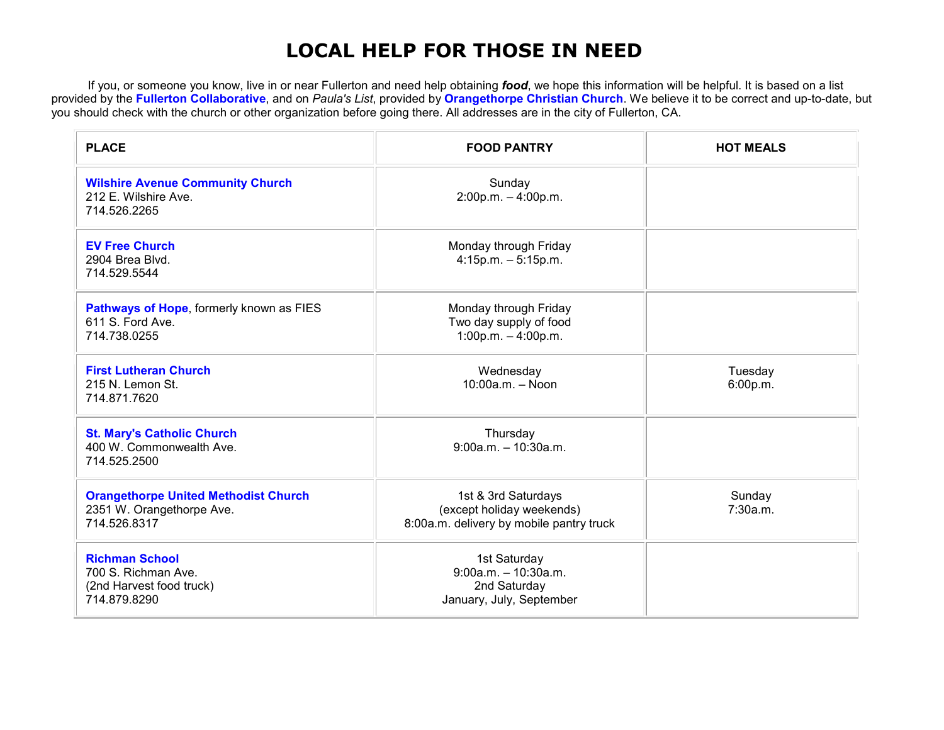## **LOCAL HELP FOR THOSE IN NEED**

If you, or someone you know, live in or near Fullerton and need help obtaining *food***,** we hope this information will be helpful. It is based on a list<br>provided by the <mark>Fullerton Collaborative</mark>, and on *Paula's List*, pro you should check with the church or other organization before going there. All addresses are in the city of Fullerton, CA.

| <b>PLACE</b>                                                                             | <b>FOOD PANTRY</b>                                                                           | <b>HOT MEALS</b>    |
|------------------------------------------------------------------------------------------|----------------------------------------------------------------------------------------------|---------------------|
| <b>Wilshire Avenue Community Church</b><br>212 E. Wilshire Ave.<br>714.526.2265          | Sunday<br>$2:00p.m. - 4:00p.m.$                                                              |                     |
| <b>EV Free Church</b><br>2904 Brea Blvd.<br>714.529.5544                                 | Monday through Friday<br>$4:15p.m. - 5:15p.m.$                                               |                     |
| Pathways of Hope, formerly known as FIES<br>611 S. Ford Ave.<br>714.738.0255             | Monday through Friday<br>Two day supply of food<br>$1:00p.m. - 4:00p.m.$                     |                     |
| <b>First Lutheran Church</b><br>215 N. Lemon St.<br>714.871.7620                         | Wednesday<br>$10:00a.m. - Noon$                                                              | Tuesday<br>6:00p.m. |
| <b>St. Mary's Catholic Church</b><br>400 W. Commonwealth Ave.<br>714.525.2500            | Thursday<br>$9:00a.m. - 10:30a.m.$                                                           |                     |
| <b>Orangethorpe United Methodist Church</b><br>2351 W. Orangethorpe Ave.<br>714.526.8317 | 1st & 3rd Saturdays<br>(except holiday weekends)<br>8:00a.m. delivery by mobile pantry truck | Sunday<br>7:30a.m.  |
| <b>Richman School</b><br>700 S. Richman Ave.<br>(2nd Harvest food truck)<br>714.879.8290 | 1st Saturday<br>$9:00a.m. - 10:30a.m.$<br>2nd Saturday<br>January, July, September           |                     |